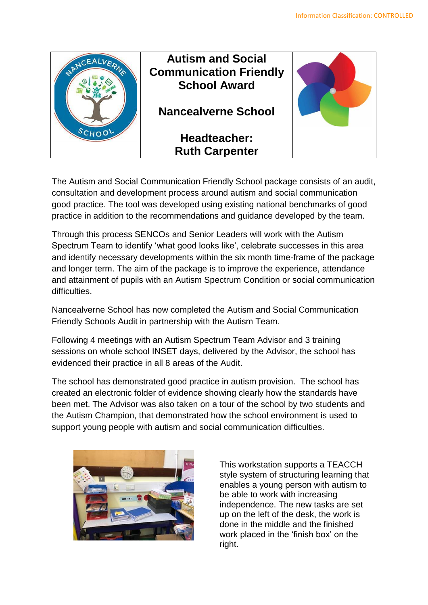

The Autism and Social Communication Friendly School package consists of an audit, consultation and development process around autism and social communication good practice. The tool was developed using existing national benchmarks of good practice in addition to the recommendations and guidance developed by the team.

Through this process SENCOs and Senior Leaders will work with the Autism Spectrum Team to identify 'what good looks like', celebrate successes in this area and identify necessary developments within the six month time-frame of the package and longer term. The aim of the package is to improve the experience, attendance and attainment of pupils with an Autism Spectrum Condition or social communication difficulties.

Nancealverne School has now completed the Autism and Social Communication Friendly Schools Audit in partnership with the Autism Team.

Following 4 meetings with an Autism Spectrum Team Advisor and 3 training sessions on whole school INSET days, delivered by the Advisor, the school has evidenced their practice in all 8 areas of the Audit.

The school has demonstrated good practice in autism provision. The school has created an electronic folder of evidence showing clearly how the standards have been met. The Advisor was also taken on a tour of the school by two students and the Autism Champion, that demonstrated how the school environment is used to support young people with autism and social communication difficulties.



This workstation supports a TEACCH style system of structuring learning that enables a young person with autism to be able to work with increasing independence. The new tasks are set up on the left of the desk, the work is done in the middle and the finished work placed in the 'finish box' on the right.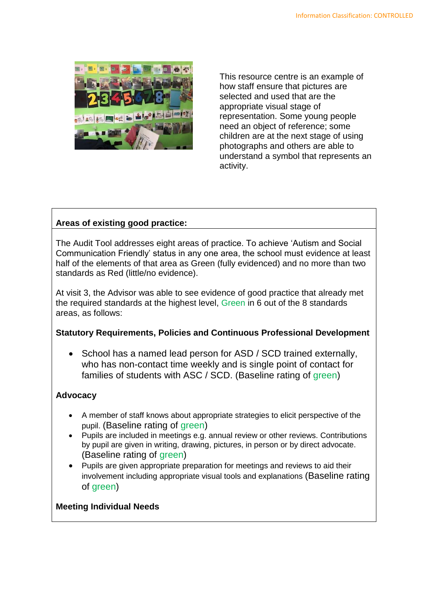

This resource centre is an example of how staff ensure that pictures are selected and used that are the appropriate visual stage of representation. Some young people need an object of reference; some children are at the next stage of using photographs and others are able to understand a symbol that represents an activity.

# **Areas of existing good practice:**

The Audit Tool addresses eight areas of practice. To achieve 'Autism and Social Communication Friendly' status in any one area, the school must evidence at least half of the elements of that area as Green (fully evidenced) and no more than two standards as Red (little/no evidence).

At visit 3, the Advisor was able to see evidence of good practice that already met the required standards at the highest level, Green in 6 out of the 8 standards areas, as follows:

## **Statutory Requirements, Policies and Continuous Professional Development**

 School has a named lead person for ASD / SCD trained externally, who has non-contact time weekly and is single point of contact for families of students with ASC / SCD. (Baseline rating of green)

## **Advocacy**

- A member of staff knows about appropriate strategies to elicit perspective of the pupil. (Baseline rating of green)
- Pupils are included in meetings e.g. annual review or other reviews. Contributions by pupil are given in writing, drawing, pictures, in person or by direct advocate. (Baseline rating of green)
- Pupils are given appropriate preparation for meetings and reviews to aid their involvement including appropriate visual tools and explanations (Baseline rating of green)

#### **Meeting Individual Needs**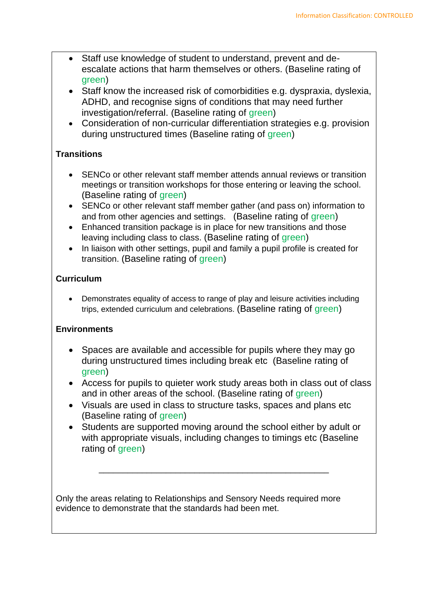- Staff use knowledge of student to understand, prevent and deescalate actions that harm themselves or others. (Baseline rating of green)
- Staff know the increased risk of comorbidities e.g. dyspraxia, dyslexia, ADHD, and recognise signs of conditions that may need further investigation/referral. (Baseline rating of green)
- Consideration of non-curricular differentiation strategies e.g. provision during unstructured times (Baseline rating of green)

# **Transitions**

- SENCo or other relevant staff member attends annual reviews or transition meetings or transition workshops for those entering or leaving the school. (Baseline rating of green)
- SENCo or other relevant staff member gather (and pass on) information to and from other agencies and settings. (Baseline rating of green)
- Enhanced transition package is in place for new transitions and those leaving including class to class. (Baseline rating of green)
- In liaison with other settings, pupil and family a pupil profile is created for transition. (Baseline rating of green)

# **Curriculum**

 Demonstrates equality of access to range of play and leisure activities including trips, extended curriculum and celebrations. (Baseline rating of green)

# **Environments**

- Spaces are available and accessible for pupils where they may go during unstructured times including break etc (Baseline rating of green)
- Access for pupils to quieter work study areas both in class out of class and in other areas of the school. (Baseline rating of green)
- Visuals are used in class to structure tasks, spaces and plans etc (Baseline rating of green)
- Students are supported moving around the school either by adult or with appropriate visuals, including changes to timings etc (Baseline rating of green)

\_\_\_\_\_\_\_\_\_\_\_\_\_\_\_\_\_\_\_\_\_\_\_\_\_\_\_\_\_\_\_\_\_\_\_\_\_\_\_\_\_\_\_\_\_\_\_\_

Only the areas relating to Relationships and Sensory Needs required more evidence to demonstrate that the standards had been met.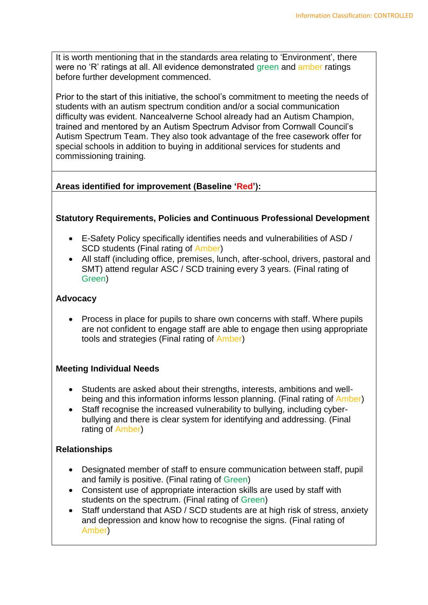It is worth mentioning that in the standards area relating to 'Environment', there were no 'R' ratings at all. All evidence demonstrated green and amber ratings before further development commenced.

Prior to the start of this initiative, the school's commitment to meeting the needs of students with an autism spectrum condition and/or a social communication difficulty was evident. Nancealverne School already had an Autism Champion, trained and mentored by an Autism Spectrum Advisor from Cornwall Council's Autism Spectrum Team. They also took advantage of the free casework offer for special schools in addition to buying in additional services for students and commissioning training.

# **Areas identified for improvement (Baseline 'Red'):**

### **Statutory Requirements, Policies and Continuous Professional Development**

- E-Safety Policy specifically identifies needs and vulnerabilities of ASD / SCD students (Final rating of Amber)
- All staff (including office, premises, lunch, after-school, drivers, pastoral and SMT) attend regular ASC / SCD training every 3 years. (Final rating of Green)

### **Advocacy**

• Process in place for pupils to share own concerns with staff. Where pupils are not confident to engage staff are able to engage then using appropriate tools and strategies (Final rating of Amber)

## **Meeting Individual Needs**

- Students are asked about their strengths, interests, ambitions and wellbeing and this information informs lesson planning. (Final rating of Amber)
- Staff recognise the increased vulnerability to bullying, including cyberbullying and there is clear system for identifying and addressing. (Final rating of Amber)

## **Relationships**

- Designated member of staff to ensure communication between staff, pupil and family is positive. (Final rating of Green)
- Consistent use of appropriate interaction skills are used by staff with students on the spectrum. (Final rating of Green)
- Staff understand that ASD / SCD students are at high risk of stress, anxiety and depression and know how to recognise the signs. (Final rating of Amber)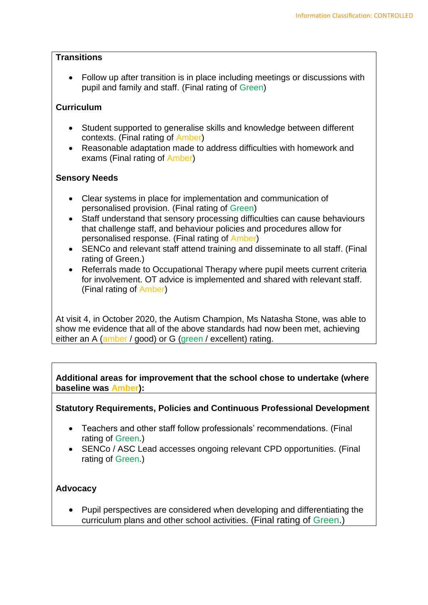### **Transitions**

 Follow up after transition is in place including meetings or discussions with pupil and family and staff. (Final rating of Green)

# **Curriculum**

- Student supported to generalise skills and knowledge between different contexts. (Final rating of Amber)
- Reasonable adaptation made to address difficulties with homework and exams (Final rating of Amber)

# **Sensory Needs**

- Clear systems in place for implementation and communication of personalised provision. (Final rating of Green)
- Staff understand that sensory processing difficulties can cause behaviours that challenge staff, and behaviour policies and procedures allow for personalised response. (Final rating of Amber)
- SENCo and relevant staff attend training and disseminate to all staff. (Final rating of Green.)
- Referrals made to Occupational Therapy where pupil meets current criteria for involvement. OT advice is implemented and shared with relevant staff. (Final rating of Amber)

At visit 4, in October 2020, the Autism Champion, Ms Natasha Stone, was able to show me evidence that all of the above standards had now been met, achieving either an A (amber / good) or G (green / excellent) rating.

**Additional areas for improvement that the school chose to undertake (where baseline was Amber):**

**Statutory Requirements, Policies and Continuous Professional Development**

- Teachers and other staff follow professionals' recommendations. (Final rating of Green.)
- SENCo / ASC Lead accesses ongoing relevant CPD opportunities. (Final rating of Green.)

# **Advocacy**

• Pupil perspectives are considered when developing and differentiating the curriculum plans and other school activities. (Final rating of Green.)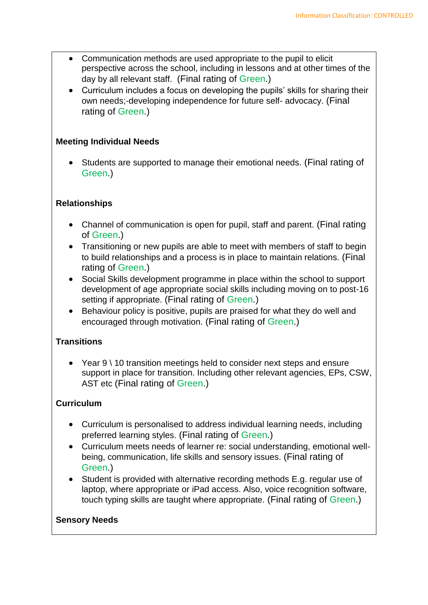- Communication methods are used appropriate to the pupil to elicit perspective across the school, including in lessons and at other times of the day by all relevant staff. (Final rating of Green.)
- Curriculum includes a focus on developing the pupils' skills for sharing their own needs;-developing independence for future self- advocacy. (Final rating of Green.)

## **Meeting Individual Needs**

 Students are supported to manage their emotional needs. (Final rating of Green.)

## **Relationships**

- Channel of communication is open for pupil, staff and parent. (Final rating of Green.)
- Transitioning or new pupils are able to meet with members of staff to begin to build relationships and a process is in place to maintain relations. (Final rating of Green.)
- Social Skills development programme in place within the school to support development of age appropriate social skills including moving on to post-16 setting if appropriate. (Final rating of Green.)
- Behaviour policy is positive, pupils are praised for what they do well and encouraged through motivation. (Final rating of Green.)

## **Transitions**

 Year 9 \ 10 transition meetings held to consider next steps and ensure support in place for transition. Including other relevant agencies, EPs, CSW, AST etc (Final rating of Green.)

## **Curriculum**

- Curriculum is personalised to address individual learning needs, including preferred learning styles. (Final rating of Green.)
- Curriculum meets needs of learner re: social understanding, emotional wellbeing, communication, life skills and sensory issues. (Final rating of Green.)
- Student is provided with alternative recording methods E.g. regular use of laptop, where appropriate or iPad access. Also, voice recognition software, touch typing skills are taught where appropriate. (Final rating of Green.)

#### **Sensory Needs**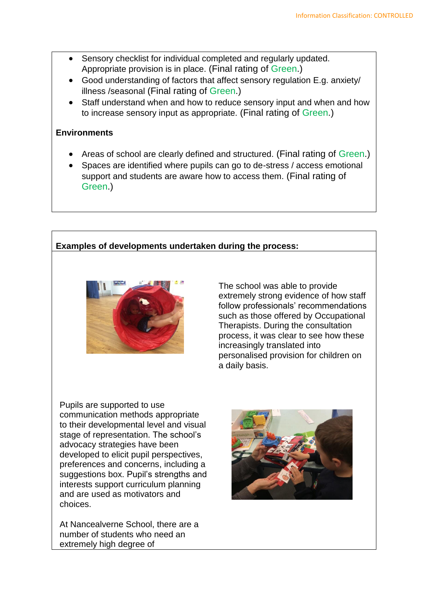- Sensory checklist for individual completed and regularly updated. Appropriate provision is in place. (Final rating of Green.)
- Good understanding of factors that affect sensory regulation E.g. anxiety/ illness /seasonal (Final rating of Green.)
- Staff understand when and how to reduce sensory input and when and how to increase sensory input as appropriate. (Final rating of Green.)

### **Environments**

- Areas of school are clearly defined and structured. (Final rating of Green.)
- Spaces are identified where pupils can go to de-stress / access emotional support and students are aware how to access them. (Final rating of Green.)

# **Examples of developments undertaken during the process:**



The school was able to provide extremely strong evidence of how staff follow professionals' recommendations such as those offered by Occupational Therapists. During the consultation process, it was clear to see how these increasingly translated into personalised provision for children on a daily basis.

Pupils are supported to use communication methods appropriate to their developmental level and visual stage of representation. The school's advocacy strategies have been developed to elicit pupil perspectives, preferences and concerns, including a suggestions box. Pupil's strengths and interests support curriculum planning and are used as motivators and choices.

At Nancealverne School, there are a number of students who need an extremely high degree of

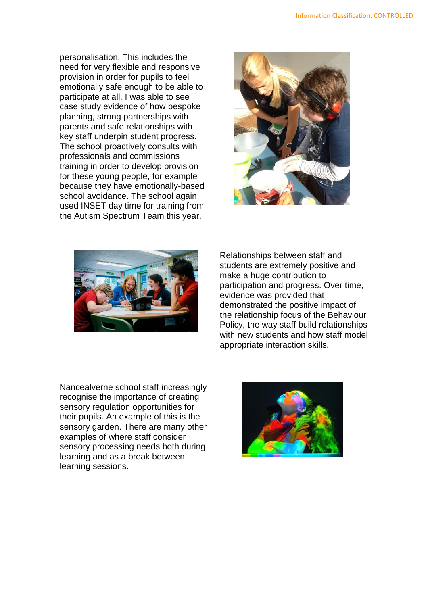personalisation. This includes the need for very flexible and responsive provision in order for pupils to feel emotionally safe enough to be able to participate at all. I was able to see case study evidence of how bespoke planning, strong partnerships with parents and safe relationships with key staff underpin student progress. The school proactively consults with professionals and commissions training in order to develop provision for these young people, for example because they have emotionally-based school avoidance. The school again used INSET day time for training from the Autism Spectrum Team this year.





Relationships between staff and students are extremely positive and make a huge contribution to participation and progress. Over time, evidence was provided that demonstrated the positive impact of the relationship focus of the Behaviour Policy, the way staff build relationships with new students and how staff model appropriate interaction skills.

Nancealverne school staff increasingly recognise the importance of creating sensory regulation opportunities for their pupils. An example of this is the sensory garden. There are many other examples of where staff consider sensory processing needs both during learning and as a break between learning sessions.